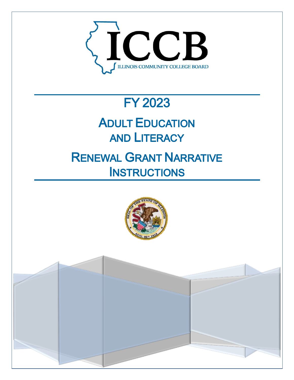

# **FY 2023**

# **ADULT EDUCATION AND LITERACY**

## **RENEWAL GRANT NARRATIVE INSTRUCTIONS**

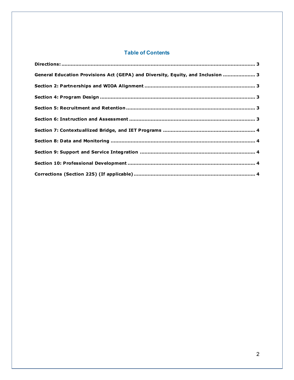### **Table of Contents**

| General Education Provisions Act (GEPA) and Diversity, Equity, and Inclusion  3 |  |
|---------------------------------------------------------------------------------|--|
|                                                                                 |  |
|                                                                                 |  |
|                                                                                 |  |
|                                                                                 |  |
|                                                                                 |  |
|                                                                                 |  |
|                                                                                 |  |
|                                                                                 |  |
|                                                                                 |  |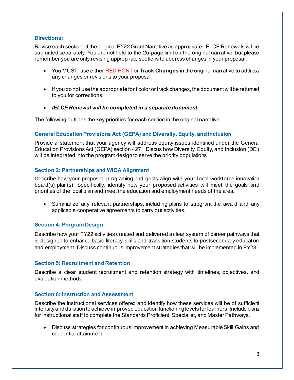#### <span id="page-2-0"></span>**Directions:**

Revise each section of the original FY22 Grant Narrative as appropriate. IELCE Renewals will be submitted separately. You are not held to the 25-page limit on the original narrative, but please remember you are only revising appropriate sections to address changes in your proposal.

- You MUST use either RED FONT or **Track Changes** in the original narrative to address any changes or revisions to your proposal.
- If you do not use the appropriate font color or track changes, the document will be returned to you for corrections.
- *IELCE Renewal will be completed in a separate document.*

The following outlines the key priorities for each section in the original narrative.

#### <span id="page-2-1"></span>**General Education Provisions Act (GEPA) and Diversity, Equity, and Inclusion**

Provide a statement that your agency will address equity issues identified under the General Education Provisions Act (GEPA) section 427. Discus how Diversity, Equity, and Inclusion (DEI) will be integrated into the program design to serve the priority populations.

#### <span id="page-2-2"></span>**Section 2: Partnerships and WIOA Alignment**

Describe how your proposed programing and goals align with your local workforce innovation board(s) plan(s). Specifically, identify how your proposed activities will meet the goals and priorities of the local plan and meet the education and employment needs of the area.

• Summarize any relevant partnerships, including plans to subgrant the award and any applicable cooperative agreements to carry out activities.

### <span id="page-2-3"></span>**Section 4: Program Design**

Describe how your FY22 activities created and delivered a clear system of career pathways that is designed to enhance basic literacy skills and transition students to postsecondary education and employment. Discuss continuous improvement strategies that will be implemented in FY23.

#### <span id="page-2-4"></span>**Section 5: Recruitment and Retention**

Describe a clear student recruitment and retention strategy with timelines, objectives, and evaluation methods.

#### <span id="page-2-5"></span>**Section 6: Instruction and Assessment**

Describe the instructional services offered and identify how these services will be of sufficient intensity and duration to achieve improved education functioning levels for learners. Include plans for instructional staff to complete the Standards Proficient, Specialist, and Master Pathways.

• Discuss strategies for continuous improvement in achieving Measurable Skill Gains and credential attainment.